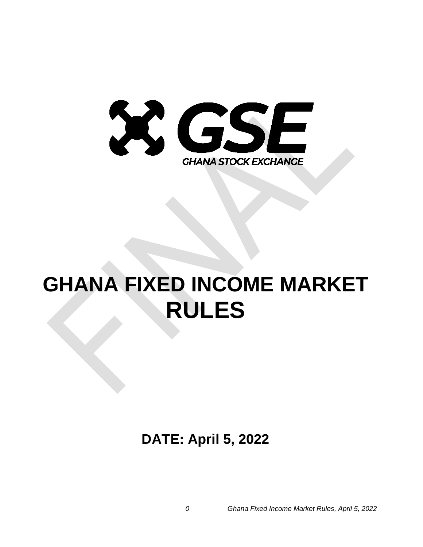

# **GHANA FIXED INCOME MARKET RULES**

**DATE: April 5, 2022**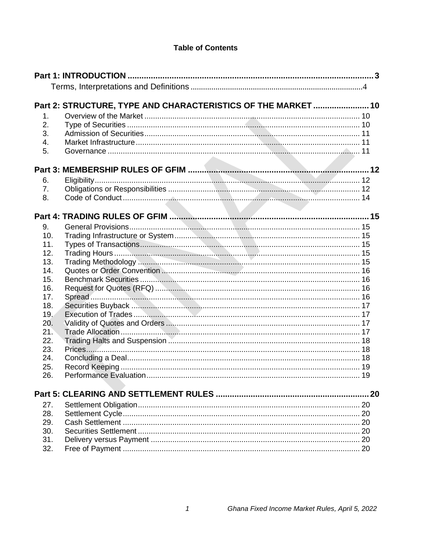# **Table of Contents**

|               | Part 2: STRUCTURE, TYPE AND CHARACTERISTICS OF THE MARKET  10 |  |
|---------------|---------------------------------------------------------------|--|
| $\mathbf 1$ . |                                                               |  |
| 2.            |                                                               |  |
| 3.            |                                                               |  |
| 4.            |                                                               |  |
| 5.            |                                                               |  |
|               |                                                               |  |
| 6.            |                                                               |  |
| 7.            |                                                               |  |
| 8.            |                                                               |  |
|               |                                                               |  |
|               |                                                               |  |
| 9.<br>10.     |                                                               |  |
| 11.           |                                                               |  |
| 12.           |                                                               |  |
| 13.           |                                                               |  |
| 14.           |                                                               |  |
| 15.           |                                                               |  |
| 16.           |                                                               |  |
| 17.           |                                                               |  |
| 18.           |                                                               |  |
| 19.           |                                                               |  |
| 20.           |                                                               |  |
| 21.           |                                                               |  |
| 22.           |                                                               |  |
| 23.           |                                                               |  |
| 24.           |                                                               |  |
| 25.           |                                                               |  |
| 26.           |                                                               |  |
|               |                                                               |  |
| 27.           |                                                               |  |
| 28.           |                                                               |  |
| 29.           |                                                               |  |
| 30.           |                                                               |  |
| 31.           |                                                               |  |
| 32.           |                                                               |  |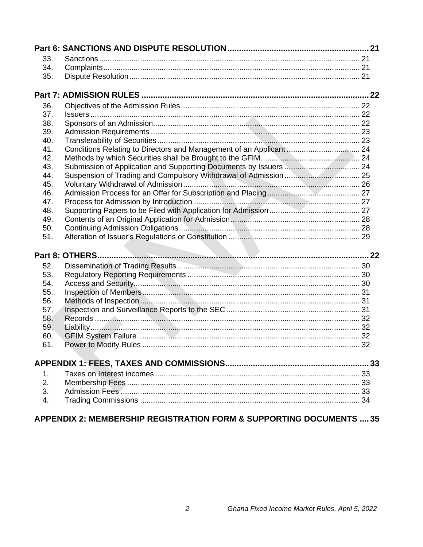| 33.        |  |
|------------|--|
| 34.        |  |
| 35.        |  |
|            |  |
| 36.        |  |
| 37.        |  |
| 38.        |  |
| 39.        |  |
| 40.        |  |
| 41.        |  |
| 42.        |  |
| 43.        |  |
| 44.        |  |
| 45.        |  |
| 46.        |  |
| 47.        |  |
| 48.        |  |
| 49.        |  |
| 50.        |  |
| 51.        |  |
|            |  |
|            |  |
| 52.        |  |
| 53.        |  |
| 54.        |  |
| 55.        |  |
| 56.        |  |
| 57.        |  |
| 58.<br>59. |  |
| 60.        |  |
| 61.        |  |
|            |  |
|            |  |
| 1.         |  |
| 2.         |  |
| 3.         |  |
| 4.         |  |
|            |  |

# APPENDIX 2: MEMBERSHIP REGISTRATION FORM & SUPPORTING DOCUMENTS .... 35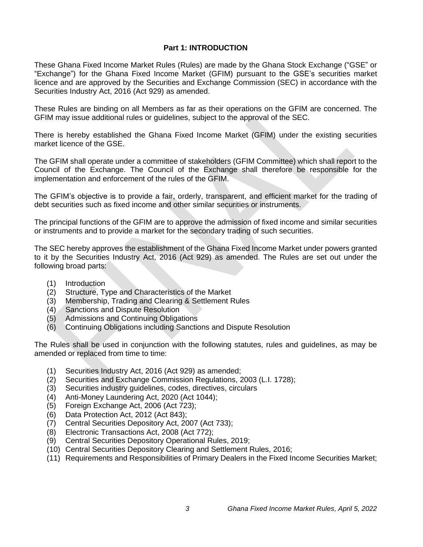# **Part 1: INTRODUCTION**

<span id="page-3-0"></span>These Ghana Fixed Income Market Rules (Rules) are made by the Ghana Stock Exchange ("GSE" or "Exchange") for the Ghana Fixed Income Market (GFIM) pursuant to the GSE's securities market licence and are approved by the Securities and Exchange Commission (SEC) in accordance with the Securities Industry Act, 2016 (Act 929) as amended.

These Rules are binding on all Members as far as their operations on the GFIM are concerned. The GFIM may issue additional rules or guidelines, subject to the approval of the SEC.

There is hereby established the Ghana Fixed Income Market (GFIM) under the existing securities market licence of the GSE.

The GFIM shall operate under a committee of stakeholders (GFIM Committee) which shall report to the Council of the Exchange. The Council of the Exchange shall therefore be responsible for the implementation and enforcement of the rules of the GFIM.

The GFIM's objective is to provide a fair, orderly, transparent, and efficient market for the trading of debt securities such as fixed income and other similar securities or instruments.

The principal functions of the GFIM are to approve the admission of fixed income and similar securities or instruments and to provide a market for the secondary trading of such securities.

The SEC hereby approves the establishment of the Ghana Fixed Income Market under powers granted to it by the Securities Industry Act, 2016 (Act 929) as amended. The Rules are set out under the following broad parts:

- (1) Introduction
- (2) Structure, Type and Characteristics of the Market
- (3) Membership, Trading and Clearing & Settlement Rules
- (4) Sanctions and Dispute Resolution
- (5) Admissions and Continuing Obligations
- (6) Continuing Obligations including Sanctions and Dispute Resolution

The Rules shall be used in conjunction with the following statutes, rules and guidelines, as may be amended or replaced from time to time:

- (1) Securities Industry Act, 2016 (Act 929) as amended;
- (2) Securities and Exchange Commission Regulations, 2003 (L.I. 1728);
- (3) Securities industry guidelines, codes, directives, circulars
- (4) Anti-Money Laundering Act, 2020 (Act 1044);
- (5) Foreign Exchange Act, 2006 (Act 723);
- (6) Data Protection Act, 2012 (Act 843);
- (7) Central Securities Depository Act, 2007 (Act 733);
- (8) Electronic Transactions Act, 2008 (Act 772);
- (9) Central Securities Depository Operational Rules, 2019;
- (10) Central Securities Depository Clearing and Settlement Rules, 2016;
- (11) Requirements and Responsibilities of Primary Dealers in the Fixed Income Securities Market;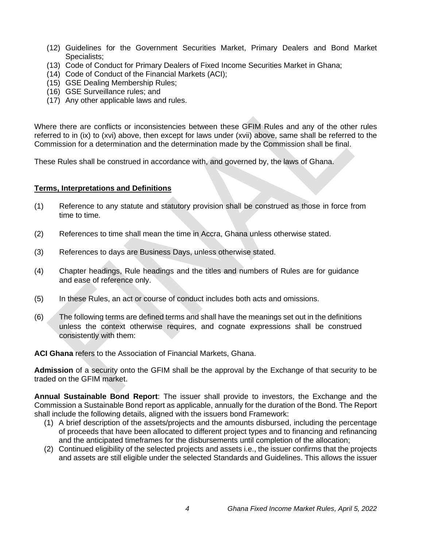- (12) Guidelines for the Government Securities Market, Primary Dealers and Bond Market Specialists;
- (13) Code of Conduct for Primary Dealers of Fixed Income Securities Market in Ghana;
- (14) Code of Conduct of the Financial Markets (ACI);
- (15) GSE Dealing Membership Rules;
- (16) GSE Surveillance rules; and
- (17) Any other applicable laws and rules.

Where there are conflicts or inconsistencies between these GFIM Rules and any of the other rules referred to in (ix) to (xvi) above, then except for laws under (xvii) above, same shall be referred to the Commission for a determination and the determination made by the Commission shall be final.

These Rules shall be construed in accordance with, and governed by, the laws of Ghana.

#### <span id="page-4-0"></span>**Terms, Interpretations and Definitions**

- (1) Reference to any statute and statutory provision shall be construed as those in force from time to time.
- (2) References to time shall mean the time in Accra, Ghana unless otherwise stated.
- (3) References to days are Business Days, unless otherwise stated.
- (4) Chapter headings, Rule headings and the titles and numbers of Rules are for guidance and ease of reference only.
- (5) In these Rules, an act or course of conduct includes both acts and omissions.
- (6) The following terms are defined terms and shall have the meanings set out in the definitions unless the context otherwise requires, and cognate expressions shall be construed consistently with them:

**ACI Ghana** refers to the Association of Financial Markets, Ghana.

**Admission** of a security onto the GFIM shall be the approval by the Exchange of that security to be traded on the GFIM market.

**Annual Sustainable Bond Report**: The issuer shall provide to investors, the Exchange and the Commission a Sustainable Bond report as applicable, annually for the duration of the Bond. The Report shall include the following details, aligned with the issuers bond Framework:

- (1) A brief description of the assets/projects and the amounts disbursed, including the percentage of proceeds that have been allocated to different project types and to financing and refinancing and the anticipated timeframes for the disbursements until completion of the allocation;
- (2) Continued eligibility of the selected projects and assets i.e., the issuer confirms that the projects and assets are still eligible under the selected Standards and Guidelines. This allows the issuer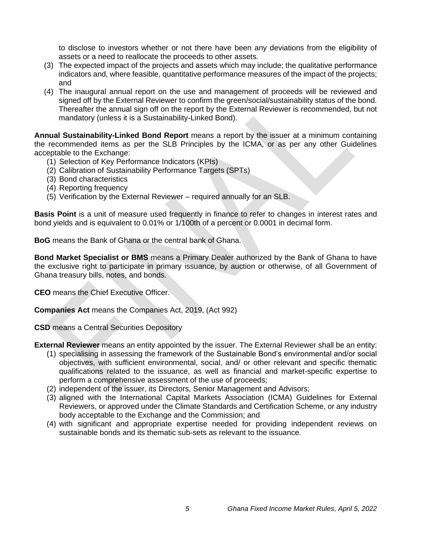to disclose to investors whether or not there have been any deviations from the eligibility of assets or a need to reallocate the proceeds to other assets.

- (3) The expected impact of the projects and assets which may include; the qualitative performance indicators and, where feasible, quantitative performance measures of the impact of the projects; and
- (4) The inaugural annual report on the use and management of proceeds will be reviewed and signed off by the External Reviewer to confirm the green/social/sustainability status of the bond. Thereafter the annual sign off on the report by the External Reviewer is recommended, but not mandatory (unless it is a Sustainability-Linked Bond).

**Annual Sustainability-Linked Bond Report** means a report by the issuer at a minimum containing the recommended items as per the SLB Principles by the ICMA, or as per any other Guidelines acceptable to the Exchange:

- (1) Selection of Key Performance Indicators (KPIs)
- (2) Calibration of Sustainability Performance Targets (SPTs)
- (3) Bond characteristics
- (4) Reporting frequency
- (5) Verification by the External Reviewer required annually for an SLB.

**Basis Point** is a unit of measure used frequently in finance to refer to changes in [interest rates](http://www.investopedia.com/terms/i/interestrate.asp) and [bond](http://www.investopedia.com/terms/b/bond.asp) [yields](http://www.investopedia.com/terms/y/yield.asp) and is equivalent to 0.01% or 1/100th of a percent or 0.0001 in decimal form.

**BoG** means the Bank of Ghana or the central bank of Ghana.

**Bond Market Specialist or BMS** means a Primary Dealer authorized by the Bank of Ghana to have the exclusive right to participate in primary issuance, by auction or otherwise, of all Government of Ghana treasury bills, notes, and bonds.

**CEO** means the Chief Executive Officer.

**Companies Act** means the Companies Act, 2019, (Act 992)

**CSD** means a Central Securities Depository

**External Reviewer** means an entity appointed by the issuer. The External Reviewer shall be an entity:

- (1) specialising in assessing the framework of the Sustainable Bond's environmental and/or social objectives, with sufficient environmental, social, and/ or other relevant and specific thematic qualifications related to the issuance, as well as financial and market-specific expertise to perform a comprehensive assessment of the use of proceeds;
- (2) independent of the issuer, its Directors, Senior Management and Advisors;
- (3) aligned with the International Capital Markets Association (ICMA) Guidelines for External Reviewers, or approved under the Climate Standards and Certification Scheme, or any industry body acceptable to the Exchange and the Commission; and
- (4) with significant and appropriate expertise needed for providing independent reviews on sustainable bonds and its thematic sub-sets as relevant to the issuance.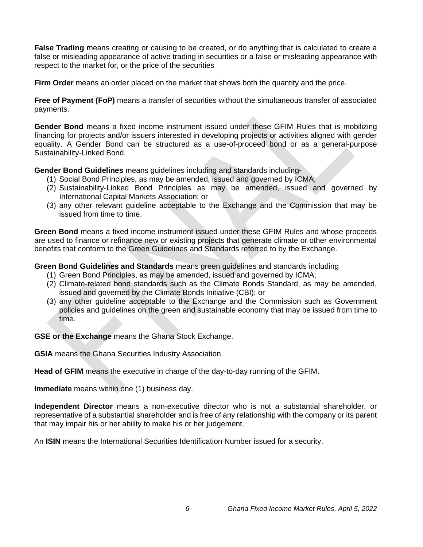**False Trading** means creating or causing to be created, or do anything that is calculated to create a false or misleading appearance of active trading in securities or a false or misleading appearance with respect to the market for, or the price of the securities

**Firm Order** means an order placed on the market that shows both the quantity and the price.

**Free of Payment (FoP)** means a transfer of securities without the simultaneous transfer of associated payments.

**Gender Bond** means a fixed income instrument issued under these GFIM Rules that is mobilizing financing for projects and/or issuers interested in developing projects or activities aligned with gender equality. A Gender Bond can be structured as a use-of-proceed bond or as a general-purpose Sustainability-Linked Bond.

**Gender Bond Guidelines** means guidelines including and standards including**-**

- (1) Social Bond Principles, as may be amended, issued and governed by ICMA;
- (2) Sustainability-Linked Bond Principles as may be amended, issued and governed by International Capital Markets Association; or
- (3) any other relevant guideline acceptable to the Exchange and the Commission that may be issued from time to time.

**Green Bond** means a fixed income instrument issued under these GFIM Rules and whose proceeds are used to finance or refinance new or existing projects that generate climate or other environmental benefits that conform to the Green Guidelines and Standards referred to by the Exchange.

**Green Bond Guidelines and Standards** means green guidelines and standards including

- (1) Green Bond Principles, as may be amended, issued and governed by ICMA;
- (2) Climate-related bond standards such as the Climate Bonds Standard, as may be amended, issued and governed by the Climate Bonds Initiative (CBI); or
- (3) any other guideline acceptable to the Exchange and the Commission such as Government policies and guidelines on the green and sustainable economy that may be issued from time to time.

**GSE or the Exchange** means the Ghana Stock Exchange.

**GSIA** means the Ghana Securities Industry Association.

**Head of GFIM** means the executive in charge of the day-to-day running of the GFIM.

**Immediate** means within one (1) business day.

**Independent Director** means a non-executive director who is not a substantial shareholder, or representative of a substantial shareholder and is free of any relationship with the company or its parent that may impair his or her ability to make his or her judgement.

An **ISIN** means the International Securities Identification Number issued for a security.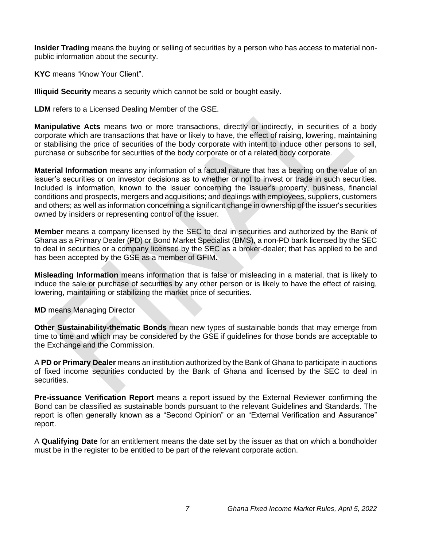**Insider Trading** means the buying or selling of securities by a person who has access to material nonpublic information about the security.

**KYC** means "Know Your Client".

**Illiquid Security** means a security which cannot be sold or bought easily.

**LDM** refers to a Licensed Dealing Member of the GSE.

**Manipulative Acts** means two or more transactions, directly or indirectly, in securities of a body corporate which are transactions that have or likely to have, the effect of raising, lowering, maintaining or stabilising the price of securities of the body corporate with intent to induce other persons to sell, purchase or subscribe for securities of the body corporate or of a related body corporate.

**Material Information** means any information of a factual nature that has a bearing on the value of an issuer's securities or on investor decisions as to whether or not to invest or trade in such securities. Included is information, known to the issuer concerning the issuer's property, business, financial conditions and prospects, mergers and acquisitions; and dealings with employees, suppliers, customers and others; as well as information concerning a significant change in ownership of the issuer's securities owned by insiders or representing control of the issuer.

**Member** means a company licensed by the SEC to deal in securities and authorized by the Bank of Ghana as a Primary Dealer (PD) or Bond Market Specialist (BMS), a non-PD bank licensed by the SEC to deal in securities or a company licensed by the SEC as a broker-dealer; that has applied to be and has been accepted by the GSE as a member of GFIM.

**Misleading Information** means information that is false or misleading in a material, that is likely to induce the sale or purchase of securities by any other person or is likely to have the effect of raising, lowering, maintaining or stabilizing the market price of securities.

**MD** means Managing Director

**Other Sustainability-thematic Bonds** mean new types of sustainable bonds that may emerge from time to time and which may be considered by the GSE if guidelines for those bonds are acceptable to the Exchange and the Commission.

A **PD or Primary Dealer** means an institution authorized by the Bank of Ghana to participate in auctions of fixed income securities conducted by the Bank of Ghana and licensed by the SEC to deal in securities.

**Pre-issuance Verification Report** means a report issued by the External Reviewer confirming the Bond can be classified as sustainable bonds pursuant to the relevant Guidelines and Standards. The report is often generally known as a "Second Opinion" or an "External Verification and Assurance" report.

A **Qualifying Date** for an entitlement means the date set by the issuer as that on which a bondholder must be in the register to be entitled to be part of the relevant corporate action.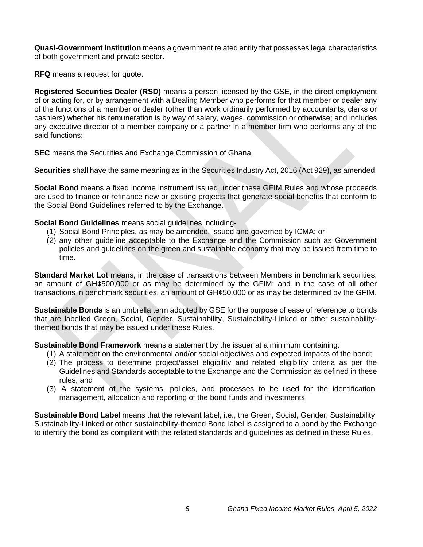**Quasi-Government institution** means a government related entity that possesses legal characteristics of both government and private sector.

**RFQ** means a request for quote.

**Registered Securities Dealer (RSD)** means a person licensed by the GSE, in the direct employment of or acting for, or by arrangement with a Dealing Member who performs for that member or dealer any of the functions of a member or dealer (other than work ordinarily performed by accountants, clerks or cashiers) whether his remuneration is by way of salary, wages, commission or otherwise; and includes any executive director of a member company or a partner in a member firm who performs any of the said functions;

**SEC** means the Securities and Exchange Commission of Ghana.

**Securities** shall have the same meaning as in the Securities Industry Act, 2016 (Act 929), as amended.

**Social Bond** means a fixed income instrument issued under these GFIM Rules and whose proceeds are used to finance or refinance new or existing projects that generate social benefits that conform to the Social Bond Guidelines referred to by the Exchange.

**Social Bond Guidelines** means social guidelines including-

- (1) Social Bond Principles, as may be amended, issued and governed by ICMA; or
- (2) any other guideline acceptable to the Exchange and the Commission such as Government policies and guidelines on the green and sustainable economy that may be issued from time to time.

**Standard Market Lot** means, in the case of transactions between Members in benchmark securities, an amount of GH¢500,000 or as may be determined by the GFIM; and in the case of all other transactions in benchmark securities, an amount of GH¢50,000 or as may be determined by the GFIM.

**Sustainable Bonds** is an umbrella term adopted by GSE for the purpose of ease of reference to bonds that are labelled Green, Social, Gender, Sustainability, Sustainability-Linked or other sustainabilitythemed bonds that may be issued under these Rules.

**Sustainable Bond Framework** means a statement by the issuer at a minimum containing:

- (1) A statement on the environmental and/or social objectives and expected impacts of the bond;
- (2) The process to determine project/asset eligibility and related eligibility criteria as per the Guidelines and Standards acceptable to the Exchange and the Commission as defined in these rules; and
- (3) A statement of the systems, policies, and processes to be used for the identification, management, allocation and reporting of the bond funds and investments.

**Sustainable Bond Label** means that the relevant label, i.e., the Green, Social, Gender, Sustainability, Sustainability-Linked or other sustainability-themed Bond label is assigned to a bond by the Exchange to identify the bond as compliant with the related standards and guidelines as defined in these Rules.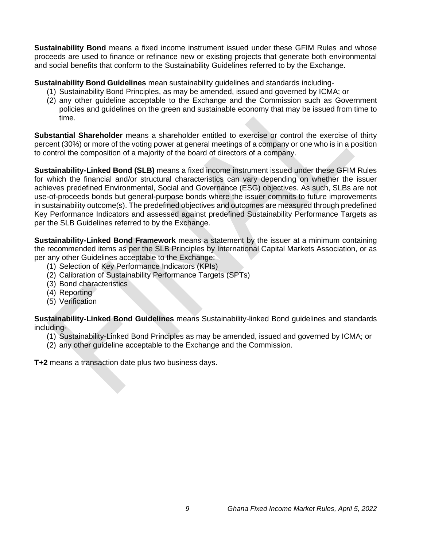**Sustainability Bond** means a fixed income instrument issued under these GFIM Rules and whose proceeds are used to finance or refinance new or existing projects that generate both environmental and social benefits that conform to the Sustainability Guidelines referred to by the Exchange.

**Sustainability Bond Guidelines** mean sustainability guidelines and standards including-

- (1) Sustainability Bond Principles, as may be amended, issued and governed by ICMA; or
- (2) any other guideline acceptable to the Exchange and the Commission such as Government policies and guidelines on the green and sustainable economy that may be issued from time to time.

**Substantial Shareholder** means a shareholder entitled to exercise or control the exercise of thirty percent (30%) or more of the voting power at general meetings of a company or one who is in a position to control the composition of a majority of the board of directors of a company.

**Sustainability-Linked Bond (SLB)** means a fixed income instrument issued under these GFIM Rules for which the financial and/or structural characteristics can vary depending on whether the issuer achieves predefined Environmental, Social and Governance (ESG) objectives. As such, SLBs are not use-of-proceeds bonds but general-purpose bonds where the issuer commits to future improvements in sustainability outcome(s). The predefined objectives and outcomes are measured through predefined Key Performance Indicators and assessed against predefined Sustainability Performance Targets as per the SLB Guidelines referred to by the Exchange.

**Sustainability-Linked Bond Framework** means a statement by the issuer at a minimum containing the recommended items as per the SLB Principles by International Capital Markets Association, or as per any other Guidelines acceptable to the Exchange:

- (1) Selection of Key Performance Indicators (KPIs)
- (2) Calibration of Sustainability Performance Targets (SPTs)
- (3) Bond characteristics
- (4) Reporting
- (5) Verification

**Sustainability-Linked Bond Guidelines** means Sustainability-linked Bond guidelines and standards including-

- (1) Sustainability-Linked Bond Principles as may be amended, issued and governed by ICMA; or
- (2) any other guideline acceptable to the Exchange and the Commission.

<span id="page-9-0"></span>**T+2** means a transaction date plus two business days.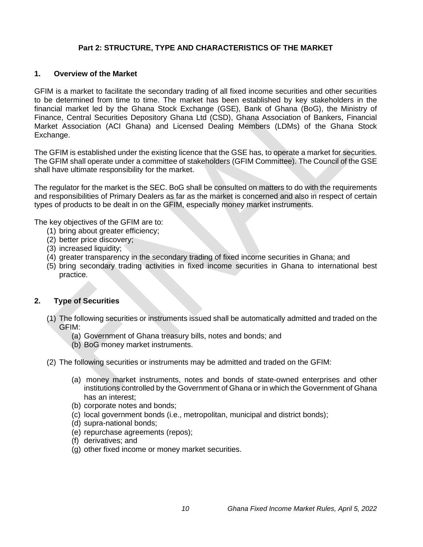# **Part 2: STRUCTURE, TYPE AND CHARACTERISTICS OF THE MARKET**

#### <span id="page-10-0"></span>**1. Overview of the Market**

GFIM is a market to facilitate the secondary trading of all fixed income securities and other securities to be determined from time to time. The market has been established by key stakeholders in the financial market led by the Ghana Stock Exchange (GSE), Bank of Ghana (BoG), the Ministry of Finance, Central Securities Depository Ghana Ltd (CSD), Ghana Association of Bankers, Financial Market Association (ACI Ghana) and Licensed Dealing Members (LDMs) of the Ghana Stock Exchange.

The GFIM is established under the existing licence that the GSE has, to operate a market for securities. The GFIM shall operate under a committee of stakeholders (GFIM Committee). The Council of the GSE shall have ultimate responsibility for the market.

The regulator for the market is the SEC. BoG shall be consulted on matters to do with the requirements and responsibilities of Primary Dealers as far as the market is concerned and also in respect of certain types of products to be dealt in on the GFIM, especially money market instruments.

The key objectives of the GFIM are to:

- (1) bring about greater efficiency;
- (2) better price discovery;
- (3) increased liquidity;
- (4) greater transparency in the secondary trading of fixed income securities in Ghana; and
- (5) bring secondary trading activities in fixed income securities in Ghana to international best practice.

#### <span id="page-10-1"></span>**2. Type of Securities**

- (1) The following securities or instruments issued shall be automatically admitted and traded on the GFIM:
	- (a) Government of Ghana treasury bills, notes and bonds; and
	- (b) BoG money market instruments.
- (2) The following securities or instruments may be admitted and traded on the GFIM:
	- (a) money market instruments, notes and bonds of state-owned enterprises and other institutions controlled by the Government of Ghana or in which the Government of Ghana has an interest;
	- (b) corporate notes and bonds;
	- (c) local government bonds (i.e., metropolitan, municipal and district bonds);
	- (d) supra-national bonds;
	- (e) repurchase agreements (repos);
	- (f) derivatives; and
	- (g) other fixed income or money market securities.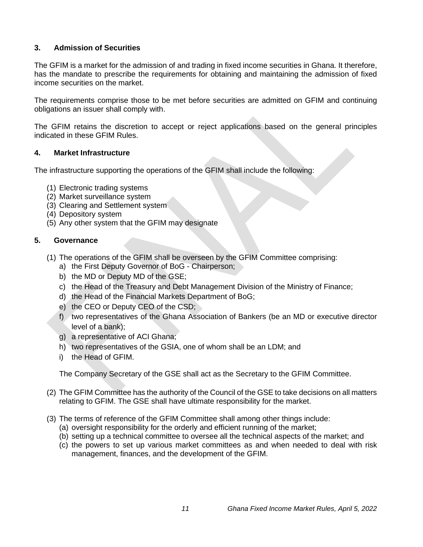# <span id="page-11-0"></span>**3. Admission of Securities**

The GFIM is a market for the admission of and trading in fixed income securities in Ghana. It therefore, has the mandate to prescribe the requirements for obtaining and maintaining the admission of fixed income securities on the market.

The requirements comprise those to be met before securities are admitted on GFIM and continuing obligations an issuer shall comply with.

The GFIM retains the discretion to accept or reject applications based on the general principles indicated in these GFIM Rules.

# <span id="page-11-1"></span>**4. Market Infrastructure**

The infrastructure supporting the operations of the GFIM shall include the following:

- (1) Electronic trading systems
- (2) Market surveillance system
- (3) Clearing and Settlement system
- (4) Depository system
- (5) Any other system that the GFIM may designate

#### <span id="page-11-2"></span>**5. Governance**

- (1) The operations of the GFIM shall be overseen by the GFIM Committee comprising:
	- a) the First Deputy Governor of BoG Chairperson;
	- b) the MD or Deputy MD of the GSE;
	- c) the Head of the Treasury and Debt Management Division of the Ministry of Finance;
	- d) the Head of the Financial Markets Department of BoG;
	- e) the CEO or Deputy CEO of the CSD;
	- f) two representatives of the Ghana Association of Bankers (be an MD or executive director level of a bank);
	- g) a representative of ACI Ghana;
	- h) two representatives of the GSIA, one of whom shall be an LDM; and
	- i) the Head of GFIM.

The Company Secretary of the GSE shall act as the Secretary to the GFIM Committee.

- (2) The GFIM Committee has the authority of the Council of the GSE to take decisions on all matters relating to GFIM. The GSE shall have ultimate responsibility for the market.
- (3) The terms of reference of the GFIM Committee shall among other things include:
	- (a) oversight responsibility for the orderly and efficient running of the market;
	- (b) setting up a technical committee to oversee all the technical aspects of the market; and
	- (c) the powers to set up various market committees as and when needed to deal with risk management, finances, and the development of the GFIM.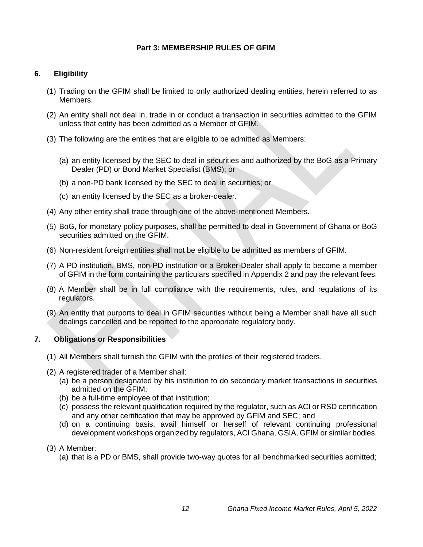# **Part 3: MEMBERSHIP RULES OF GFIM**

# <span id="page-12-1"></span><span id="page-12-0"></span>**6. Eligibility**

- (1) Trading on the GFIM shall be limited to only authorized dealing entities, herein referred to as Members.
- (2) An entity shall not deal in, trade in or conduct a transaction in securities admitted to the GFIM unless that entity has been admitted as a Member of GFIM.
- (3) The following are the entities that are eligible to be admitted as Members:
	- (a) an entity licensed by the SEC to deal in securities and authorized by the BoG as a Primary Dealer (PD) or Bond Market Specialist (BMS); or
	- (b) a non-PD bank licensed by the SEC to deal in securities; or
	- (c) an entity licensed by the SEC as a broker-dealer.
- (4) Any other entity shall trade through one of the above-mentioned Members.
- (5) BoG, for monetary policy purposes, shall be permitted to deal in Government of Ghana or BoG securities admitted on the GFIM.
- (6) Non-resident foreign entities shall not be eligible to be admitted as members of GFIM.
- (7) A PD institution, BMS, non-PD institution or a Broker-Dealer shall apply to become a member of GFIM in the form containing the particulars specified in Appendix 2 and pay the relevant fees.
- (8) A Member shall be in full compliance with the requirements, rules, and regulations of its regulators.
- (9) An entity that purports to deal in GFIM securities without being a Member shall have all such dealings cancelled and be reported to the appropriate regulatory body.

# <span id="page-12-2"></span>**7. Obligations or Responsibilities**

- (1) All Members shall furnish the GFIM with the profiles of their registered traders.
- (2) A registered trader of a Member shall:
	- (a) be a person designated by his institution to do secondary market transactions in securities admitted on the GFIM;
	- (b) be a full-time employee of that institution;
	- (c) possess the relevant qualification required by the regulator, such as ACI or RSD certification and any other certification that may be approved by GFIM and SEC; and
	- (d) on a continuing basis, avail himself or herself of relevant continuing professional development workshops organized by regulators, ACI Ghana, GSIA, GFIM or similar bodies.

# (3) A Member:

(a) that is a PD or BMS, shall provide two-way quotes for all benchmarked securities admitted;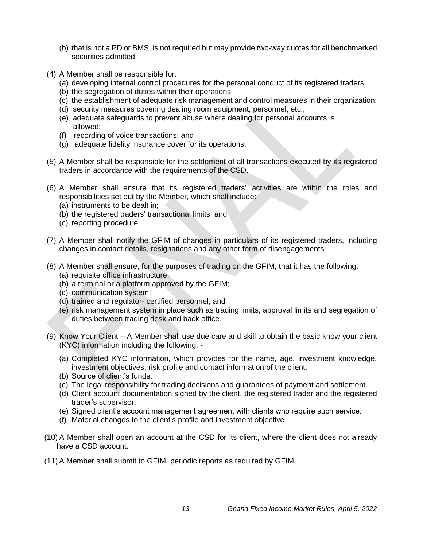- (b) that is not a PD or BMS, is not required but may provide two-way quotes for all benchmarked securities admitted.
- (4) A Member shall be responsible for:
	- (a) developing internal control procedures for the personal conduct of its registered traders;
	- (b) the segregation of duties within their operations;
	- (c) the establishment of adequate risk management and control measures in their organization;
	- (d) security measures covering dealing room equipment, personnel, etc.;
	- (e) adequate safeguards to prevent abuse where dealing for personal accounts is allowed;
	- (f) recording of voice transactions; and
	- (g) adequate fidelity insurance cover for its operations.
- (5) A Member shall be responsible for the settlement of all transactions executed by its registered traders in accordance with the requirements of the CSD.
- (6) A Member shall ensure that its registered traders' activities are within the roles and responsibilities set out by the Member, which shall include:
	- (a) instruments to be dealt in;
	- (b) the registered traders' transactional limits; and
	- (c) reporting procedure.
- (7) A Member shall notify the GFIM of changes in particulars of its registered traders, including changes in contact details, resignations and any other form of disengagements.
- (8) A Member shall ensure, for the purposes of trading on the GFIM, that it has the following:
	- (a) requisite office infrastructure;
	- (b) a terminal or a platform approved by the GFIM;
	- (c) communication system;
	- (d) trained and regulator- certified personnel; and
	- (e) risk management system in place such as trading limits, approval limits and segregation of duties between trading desk and back office.
- (9) Know Your Client A Member shall use due care and skill to obtain the basic know your client (KYC) information including the following: -
	- (a) Completed KYC information, which provides for the name, age, investment knowledge, investment objectives, risk profile and contact information of the client.
	- (b) Source of client's funds.
	- (c) The legal responsibility for trading decisions and guarantees of payment and settlement.
	- (d) Client account documentation signed by the client, the registered trader and the registered trader's supervisor.
	- (e) Signed client's account management agreement with clients who require such service.
	- (f) Material changes to the client's profile and investment objective.
- (10) A Member shall open an account at the CSD for its client, where the client does not already have a CSD account.
- (11) A Member shall submit to GFIM, periodic reports as required by GFIM.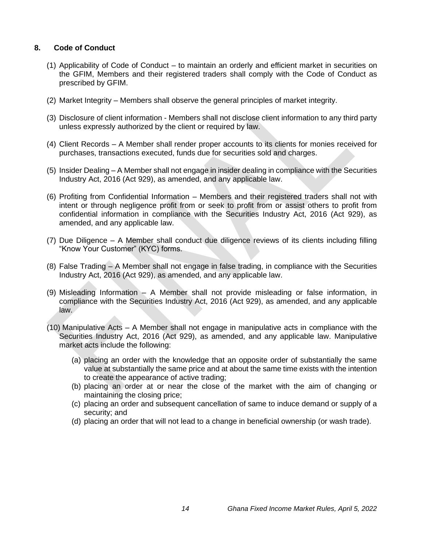# <span id="page-14-0"></span>**8. Code of Conduct**

- (1) Applicability of Code of Conduct to maintain an orderly and efficient market in securities on the GFIM, Members and their registered traders shall comply with the Code of Conduct as prescribed by GFIM.
- (2) Market Integrity Members shall observe the general principles of market integrity.
- (3) Disclosure of client information Members shall not disclose client information to any third party unless expressly authorized by the client or required by law.
- (4) Client Records A Member shall render proper accounts to its clients for monies received for purchases, transactions executed, funds due for securities sold and charges.
- (5) Insider Dealing A Member shall not engage in insider dealing in compliance with the Securities Industry Act, 2016 (Act 929), as amended, and any applicable law.
- (6) Profiting from Confidential Information Members and their registered traders shall not with intent or through negligence profit from or seek to profit from or assist others to profit from confidential information in compliance with the Securities Industry Act, 2016 (Act 929), as amended, and any applicable law.
- (7) Due Diligence A Member shall conduct due diligence reviews of its clients including filling "Know Your Customer" (KYC) forms.
- (8) False Trading A Member shall not engage in false trading, in compliance with the Securities Industry Act, 2016 (Act 929), as amended, and any applicable law.
- (9) Misleading Information A Member shall not provide misleading or false information, in compliance with the Securities Industry Act, 2016 (Act 929), as amended, and any applicable law.
- (10) Manipulative Acts A Member shall not engage in manipulative acts in compliance with the Securities Industry Act, 2016 (Act 929), as amended, and any applicable law. Manipulative market acts include the following:
	- (a) placing an order with the knowledge that an opposite order of substantially the same value at substantially the same price and at about the same time exists with the intention to create the appearance of active trading;
	- (b) placing an order at or near the close of the market with the aim of changing or maintaining the closing price;
	- (c) placing an order and subsequent cancellation of same to induce demand or supply of a security; and
	- (d) placing an order that will not lead to a change in beneficial ownership (or wash trade).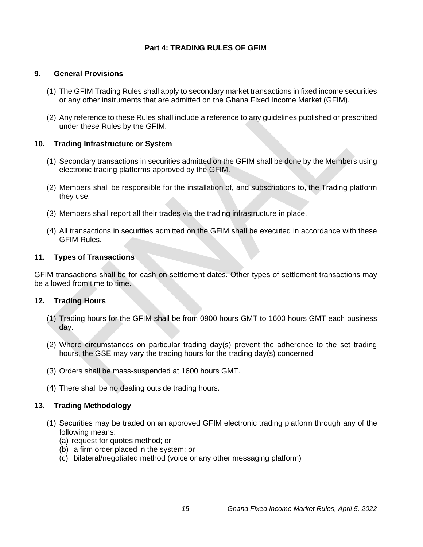# **Part 4: TRADING RULES OF GFIM**

#### <span id="page-15-1"></span><span id="page-15-0"></span>**9. General Provisions**

- (1) The GFIM Trading Rules shall apply to secondary market transactions in fixed income securities or any other instruments that are admitted on the Ghana Fixed Income Market (GFIM).
- (2) Any reference to these Rules shall include a reference to any guidelines published or prescribed under these Rules by the GFIM.

#### <span id="page-15-2"></span>**10. Trading Infrastructure or System**

- (1) Secondary transactions in securities admitted on the GFIM shall be done by the Members using electronic trading platforms approved by the GFIM.
- (2) Members shall be responsible for the installation of, and subscriptions to, the Trading platform they use.
- (3) Members shall report all their trades via the trading infrastructure in place.
- (4) All transactions in securities admitted on the GFIM shall be executed in accordance with these GFIM Rules.

#### <span id="page-15-3"></span>**11. Types of Transactions**

GFIM transactions shall be for cash on settlement dates. Other types of settlement transactions may be allowed from time to time.

#### <span id="page-15-4"></span>**12. Trading Hours**

- (1) Trading hours for the GFIM shall be from 0900 hours GMT to 1600 hours GMT each business day.
- (2) Where circumstances on particular trading day(s) prevent the adherence to the set trading hours, the GSE may vary the trading hours for the trading day(s) concerned
- (3) Orders shall be mass-suspended at 1600 hours GMT.
- (4) There shall be no dealing outside trading hours.

# <span id="page-15-5"></span>**13. Trading Methodology**

- (1) Securities may be traded on an approved GFIM electronic trading platform through any of the following means:
	- (a) request for quotes method; or
	- (b) a firm order placed in the system; or
	- (c) bilateral/negotiated method (voice or any other messaging platform)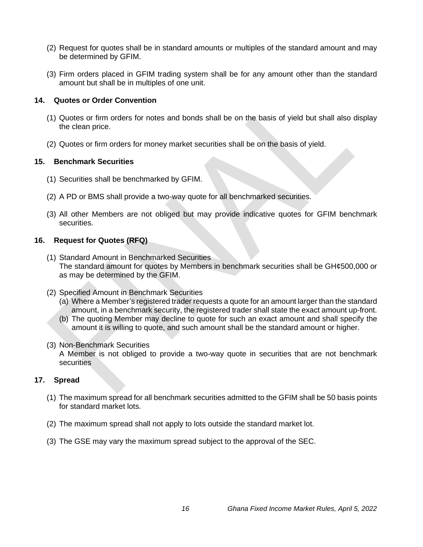- (2) Request for quotes shall be in standard amounts or multiples of the standard amount and may be determined by GFIM.
- (3) Firm orders placed in GFIM trading system shall be for any amount other than the standard amount but shall be in multiples of one unit.

# <span id="page-16-0"></span>**14. Quotes or Order Convention**

- (1) Quotes or firm orders for notes and bonds shall be on the basis of yield but shall also display the clean price.
- (2) Quotes or firm orders for money market securities shall be on the basis of yield.

# <span id="page-16-1"></span>**15. Benchmark Securities**

- (1) Securities shall be benchmarked by GFIM.
- (2) A PD or BMS shall provide a two-way quote for all benchmarked securities.
- (3) All other Members are not obliged but may provide indicative quotes for GFIM benchmark securities.

# <span id="page-16-2"></span>**16. Request for Quotes (RFQ)**

- (1) Standard Amount in Benchmarked Securities The standard amount for quotes by Members in benchmark securities shall be GH¢500,000 or as may be determined by the GFIM.
- (2) Specified Amount in Benchmark Securities
	- (a) Where a Member's registered trader requests a quote for an amount larger than the standard amount, in a benchmark security, the registered trader shall state the exact amount up-front.
	- (b) The quoting Member may decline to quote for such an exact amount and shall specify the amount it is willing to quote, and such amount shall be the standard amount or higher.
- (3) Non-Benchmark Securities

A Member is not obliged to provide a two-way quote in securities that are not benchmark **securities** 

# <span id="page-16-3"></span>**17. Spread**

- (1) The maximum spread for all benchmark securities admitted to the GFIM shall be 50 basis points for standard market lots.
- (2) The maximum spread shall not apply to lots outside the standard market lot.
- (3) The GSE may vary the maximum spread subject to the approval of the SEC.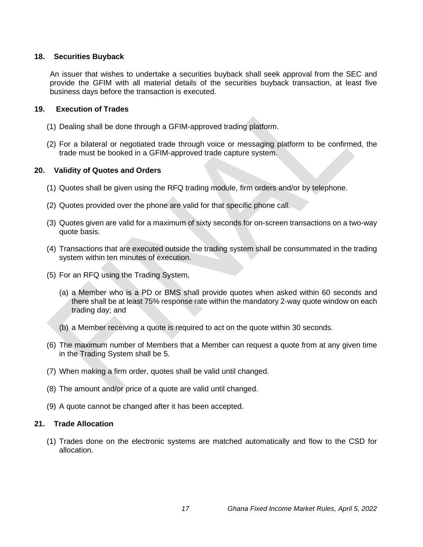#### <span id="page-17-0"></span>**18. Securities Buyback**

An issuer that wishes to undertake a securities buyback shall seek approval from the SEC and provide the GFIM with all material details of the securities buyback transaction, at least five business days before the transaction is executed.

#### **19. Execution of Trades**

- <span id="page-17-1"></span>(1) Dealing shall be done through a GFIM-approved trading platform.
- (2) For a bilateral or negotiated trade through voice or messaging platform to be confirmed, the trade must be booked in a GFIM-approved trade capture system.

#### <span id="page-17-2"></span>**20. Validity of Quotes and Orders**

- (1) Quotes shall be given using the RFQ trading module, firm orders and/or by telephone.
- (2) Quotes provided over the phone are valid for that specific phone call.
- (3) Quotes given are valid for a maximum of sixty seconds for on-screen transactions on a two-way quote basis.
- (4) Transactions that are executed outside the trading system shall be consummated in the trading system within ten minutes of execution.
- (5) For an RFQ using the Trading System,
	- (a) a Member who is a PD or BMS shall provide quotes when asked within 60 seconds and there shall be at least 75% response rate within the mandatory 2-way quote window on each trading day; and
	- (b) a Member receiving a quote is required to act on the quote within 30 seconds.
- (6) The maximum number of Members that a Member can request a quote from at any given time in the Trading System shall be 5.
- (7) When making a firm order, quotes shall be valid until changed.
- (8) The amount and/or price of a quote are valid until changed.
- (9) A quote cannot be changed after it has been accepted.

#### <span id="page-17-3"></span>**21. Trade Allocation**

(1) Trades done on the electronic systems are matched automatically and flow to the CSD for allocation.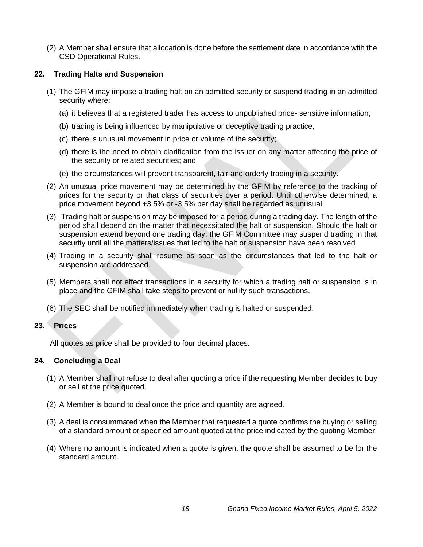(2) A Member shall ensure that allocation is done before the settlement date in accordance with the CSD Operational Rules.

# <span id="page-18-0"></span>**22. Trading Halts and Suspension**

- (1) The GFIM may impose a trading halt on an admitted security or suspend trading in an admitted security where:
	- (a) it believes that a registered trader has access to unpublished price- sensitive information;
	- (b) trading is being influenced by manipulative or deceptive trading practice;
	- (c) there is unusual movement in price or volume of the security;
	- (d) there is the need to obtain clarification from the issuer on any matter affecting the price of the security or related securities; and
	- (e) the circumstances will prevent transparent, fair and orderly trading in a security.
- (2) An unusual price movement may be determined by the GFIM by reference to the tracking of prices for the security or that class of securities over a period. Until otherwise determined, a price movement beyond +3.5% or -3.5% per day shall be regarded as unusual.
- (3) Trading halt or suspension may be imposed for a period during a trading day. The length of the period shall depend on the matter that necessitated the halt or suspension. Should the halt or suspension extend beyond one trading day, the GFIM Committee may suspend trading in that security until all the matters/issues that led to the halt or suspension have been resolved
- (4) Trading in a security shall resume as soon as the circumstances that led to the halt or suspension are addressed.
- (5) Members shall not effect transactions in a security for which a trading halt or suspension is in place and the GFIM shall take steps to prevent or nullify such transactions.
- (6) The SEC shall be notified immediately when trading is halted or suspended.

# <span id="page-18-1"></span>**23. Prices**

All quotes as price shall be provided to four decimal places.

# <span id="page-18-2"></span>**24. Concluding a Deal**

- (1) A Member shall not refuse to deal after quoting a price if the requesting Member decides to buy or sell at the price quoted.
- (2) A Member is bound to deal once the price and quantity are agreed.
- (3) A deal is consummated when the Member that requested a quote confirms the buying or selling of a standard amount or specified amount quoted at the price indicated by the quoting Member.
- (4) Where no amount is indicated when a quote is given, the quote shall be assumed to be for the standard amount.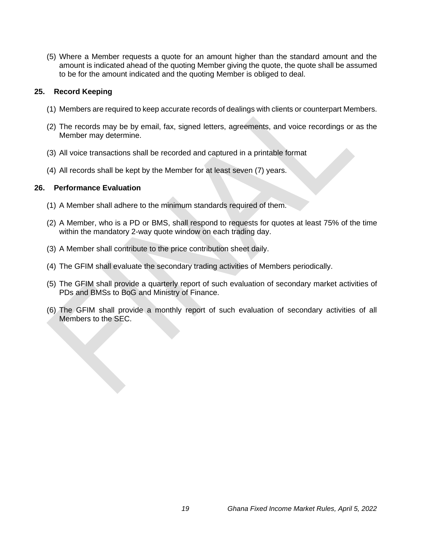(5) Where a Member requests a quote for an amount higher than the standard amount and the amount is indicated ahead of the quoting Member giving the quote, the quote shall be assumed to be for the amount indicated and the quoting Member is obliged to deal.

# <span id="page-19-0"></span>**25. Record Keeping**

- (1) Members are required to keep accurate records of dealings with clients or counterpart Members.
- (2) The records may be by email, fax, signed letters, agreements, and voice recordings or as the Member may determine.
- (3) All voice transactions shall be recorded and captured in a printable format
- (4) All records shall be kept by the Member for at least seven (7) years.

#### <span id="page-19-1"></span>**26. Performance Evaluation**

- (1) A Member shall adhere to the minimum standards required of them.
- (2) A Member, who is a PD or BMS, shall respond to requests for quotes at least 75% of the time within the mandatory 2-way quote window on each trading day.
- (3) A Member shall contribute to the price contribution sheet daily.
- (4) The GFIM shall evaluate the secondary trading activities of Members periodically.
- (5) The GFIM shall provide a quarterly report of such evaluation of secondary market activities of PDs and BMSs to BoG and Ministry of Finance.
- (6) The GFIM shall provide a monthly report of such evaluation of secondary activities of all Members to the SEC.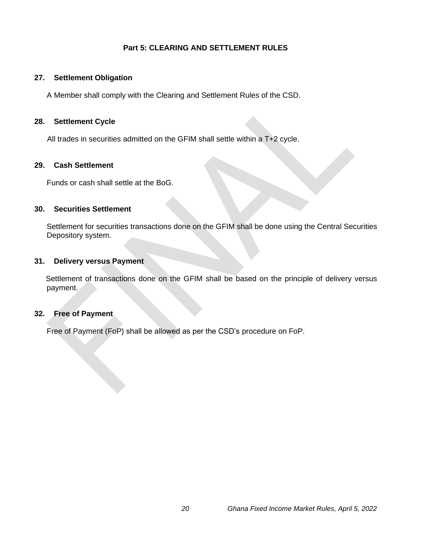# **Part 5: CLEARING AND SETTLEMENT RULES**

# <span id="page-20-1"></span><span id="page-20-0"></span>**27. Settlement Obligation**

A Member shall comply with the Clearing and Settlement Rules of the CSD.

# <span id="page-20-2"></span>**28. Settlement Cycle**

All trades in securities admitted on the GFIM shall settle within a T+2 cycle.

# <span id="page-20-3"></span>**29. Cash Settlement**

Funds or cash shall settle at the BoG.

# <span id="page-20-4"></span>**30. Securities Settlement**

Settlement for securities transactions done on the GFIM shall be done using the Central Securities Depository system.

#### <span id="page-20-5"></span>**31. Delivery versus Payment**

Settlement of transactions done on the GFIM shall be based on the principle of delivery versus payment.

# <span id="page-20-6"></span>**32. Free of Payment**

Free of Payment (FoP) shall be allowed as per the CSD's procedure on FoP.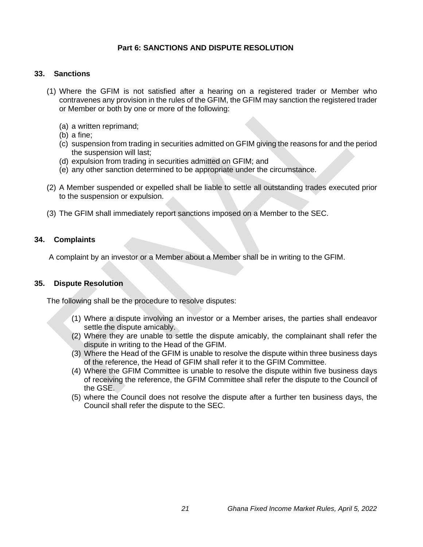# **Part 6: SANCTIONS AND DISPUTE RESOLUTION**

#### <span id="page-21-1"></span><span id="page-21-0"></span>**33. Sanctions**

- (1) Where the GFIM is not satisfied after a hearing on a registered trader or Member who contravenes any provision in the rules of the GFIM, the GFIM may sanction the registered trader or Member or both by one or more of the following:
	- (a) a written reprimand;
	- (b) a fine;
	- (c) suspension from trading in securities admitted on GFIM giving the reasons for and the period the suspension will last;
	- (d) expulsion from trading in securities admitted on GFIM; and
	- (e) any other sanction determined to be appropriate under the circumstance.
- (2) A Member suspended or expelled shall be liable to settle all outstanding trades executed prior to the suspension or expulsion.
- (3) The GFIM shall immediately report sanctions imposed on a Member to the SEC.

#### <span id="page-21-2"></span>**34. Complaints**

A complaint by an investor or a Member about a Member shall be in writing to the GFIM.

#### <span id="page-21-3"></span>**35. Dispute Resolution**

The following shall be the procedure to resolve disputes:

- (1) Where a dispute involving an investor or a Member arises, the parties shall endeavor settle the dispute amicably.
- (2) Where they are unable to settle the dispute amicably, the complainant shall refer the dispute in writing to the Head of the GFIM.
- (3) Where the Head of the GFIM is unable to resolve the dispute within three business days of the reference, the Head of GFIM shall refer it to the GFIM Committee.
- (4) Where the GFIM Committee is unable to resolve the dispute within five business days of receiving the reference, the GFIM Committee shall refer the dispute to the Council of the GSE.
- (5) where the Council does not resolve the dispute after a further ten business days, the Council shall refer the dispute to the SEC.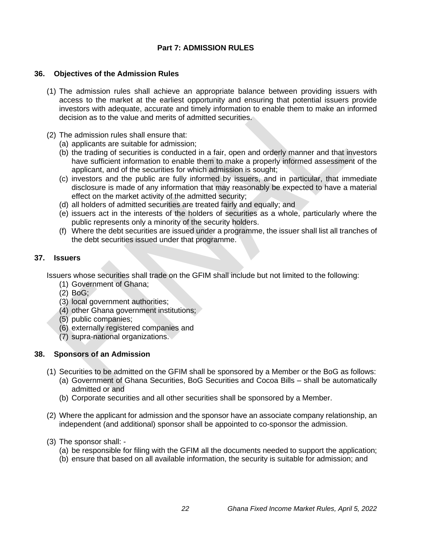# **Part 7: ADMISSION RULES**

#### <span id="page-22-1"></span><span id="page-22-0"></span>**36. Objectives of the Admission Rules**

- (1) The admission rules shall achieve an appropriate balance between providing issuers with access to the market at the earliest opportunity and ensuring that potential issuers provide investors with adequate, accurate and timely information to enable them to make an informed decision as to the value and merits of admitted securities.
- (2) The admission rules shall ensure that:
	- (a) applicants are suitable for admission;
	- (b) the trading of securities is conducted in a fair, open and orderly manner and that investors have sufficient information to enable them to make a properly informed assessment of the applicant, and of the securities for which admission is sought;
	- (c) investors and the public are fully informed by issuers, and in particular, that immediate disclosure is made of any information that may reasonably be expected to have a material effect on the market activity of the admitted security;
	- (d) all holders of admitted securities are treated fairly and equally; and
	- (e) issuers act in the interests of the holders of securities as a whole, particularly where the public represents only a minority of the security holders.
	- (f) Where the debt securities are issued under a programme, the issuer shall list all tranches of the debt securities issued under that programme.

#### <span id="page-22-2"></span>**37. Issuers**

Issuers whose securities shall trade on the GFIM shall include but not limited to the following:

- (1) Government of Ghana;
- (2) BoG;
- (3) local government authorities;
- (4) other Ghana government institutions;
- (5) public companies;
- (6) externally registered companies and
- (7) supra-national organizations.

#### <span id="page-22-3"></span>**38. Sponsors of an Admission**

- (1) Securities to be admitted on the GFIM shall be sponsored by a Member or the BoG as follows:
	- (a) Government of Ghana Securities, BoG Securities and Cocoa Bills shall be automatically admitted or and
	- (b) Corporate securities and all other securities shall be sponsored by a Member.
- (2) Where the applicant for admission and the sponsor have an associate company relationship, an independent (and additional) sponsor shall be appointed to co-sponsor the admission.
- (3) The sponsor shall:
	- (a) be responsible for filing with the GFIM all the documents needed to support the application;
	- (b) ensure that based on all available information, the security is suitable for admission; and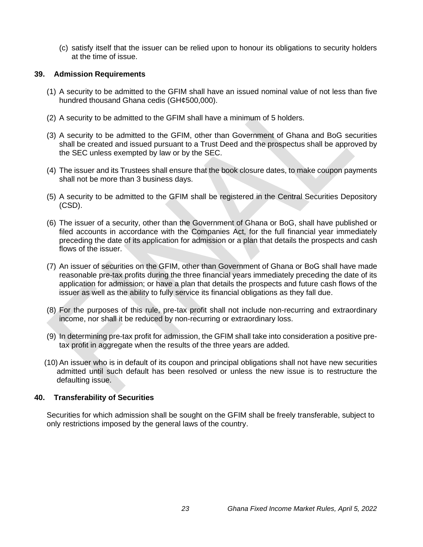(c) satisfy itself that the issuer can be relied upon to honour its obligations to security holders at the time of issue.

#### <span id="page-23-0"></span>**39. Admission Requirements**

- (1) A security to be admitted to the GFIM shall have an issued nominal value of not less than five hundred thousand Ghana cedis (GH¢500,000).
- (2) A security to be admitted to the GFIM shall have a minimum of 5 holders.
- (3) A security to be admitted to the GFIM, other than Government of Ghana and BoG securities shall be created and issued pursuant to a Trust Deed and the prospectus shall be approved by the SEC unless exempted by law or by the SEC.
- (4) The issuer and its Trustees shall ensure that the book closure dates, to make coupon payments shall not be more than 3 business days.
- (5) A security to be admitted to the GFIM shall be registered in the Central Securities Depository (CSD).
- (6) The issuer of a security, other than the Government of Ghana or BoG, shall have published or filed accounts in accordance with the Companies Act, for the full financial year immediately preceding the date of its application for admission or a plan that details the prospects and cash flows of the issuer.
- (7) An issuer of securities on the GFIM, other than Government of Ghana or BoG shall have made reasonable pre-tax profits during the three financial years immediately preceding the date of its application for admission; or have a plan that details the prospects and future cash flows of the issuer as well as the ability to fully service its financial obligations as they fall due.
- (8) For the purposes of this rule, pre-tax profit shall not include non-recurring and extraordinary income, nor shall it be reduced by non-recurring or extraordinary loss.
- (9) In determining pre-tax profit for admission, the GFIM shall take into consideration a positive pretax profit in aggregate when the results of the three years are added.
- (10) An issuer who is in default of its coupon and principal obligations shall not have new securities admitted until such default has been resolved or unless the new issue is to restructure the defaulting issue.

# <span id="page-23-1"></span>**40. Transferability of Securities**

Securities for which admission shall be sought on the GFIM shall be freely transferable, subject to only restrictions imposed by the general laws of the country.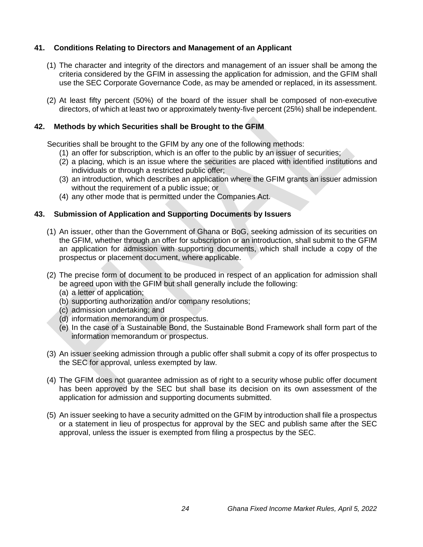# <span id="page-24-0"></span>**41. Conditions Relating to Directors and Management of an Applicant**

- (1) The character and integrity of the directors and management of an issuer shall be among the criteria considered by the GFIM in assessing the application for admission, and the GFIM shall use the SEC Corporate Governance Code, as may be amended or replaced, in its assessment.
- (2) At least fifty percent (50%) of the board of the issuer shall be composed of non-executive directors, of which at least two or approximately twenty-five percent (25%) shall be independent.

# <span id="page-24-1"></span>**42. Methods by which Securities shall be Brought to the GFIM**

Securities shall be brought to the GFIM by any one of the following methods:

- (1) an offer for subscription, which is an offer to the public by an issuer of securities;
- (2) a placing, which is an issue where the securities are placed with identified institutions and individuals or through a restricted public offer;
- (3) an introduction, which describes an application where the GFIM grants an issuer admission without the requirement of a public issue; or
- (4) any other mode that is permitted under the Companies Act.

# <span id="page-24-2"></span>**43. Submission of Application and Supporting Documents by Issuers**

- (1) An issuer, other than the Government of Ghana or BoG, seeking admission of its securities on the GFIM, whether through an offer for subscription or an introduction, shall submit to the GFIM an application for admission with supporting documents, which shall include a copy of the prospectus or placement document, where applicable.
- (2) The precise form of document to be produced in respect of an application for admission shall be agreed upon with the GFIM but shall generally include the following:
	- (a) a letter of application;
	- (b) supporting authorization and/or company resolutions;
	- (c) admission undertaking; and
	- (d) information memorandum or prospectus.
	- (e) In the case of a Sustainable Bond, the Sustainable Bond Framework shall form part of the information memorandum or prospectus.
- (3) An issuer seeking admission through a public offer shall submit a copy of its offer prospectus to the SEC for approval, unless exempted by law.
- (4) The GFIM does not guarantee admission as of right to a security whose public offer document has been approved by the SEC but shall base its decision on its own assessment of the application for admission and supporting documents submitted.
- (5) An issuer seeking to have a security admitted on the GFIM by introduction shall file a prospectus or a statement in lieu of prospectus for approval by the SEC and publish same after the SEC approval, unless the issuer is exempted from filing a prospectus by the SEC.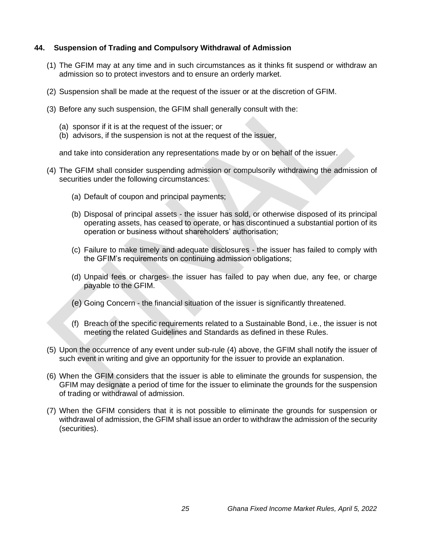# <span id="page-25-0"></span>**44. Suspension of Trading and Compulsory Withdrawal of Admission**

- (1) The GFIM may at any time and in such circumstances as it thinks fit suspend or withdraw an admission so to protect investors and to ensure an orderly market.
- (2) Suspension shall be made at the request of the issuer or at the discretion of GFIM.
- (3) Before any such suspension, the GFIM shall generally consult with the:
	- (a) sponsor if it is at the request of the issuer; or
	- (b) advisors, if the suspension is not at the request of the issuer,

and take into consideration any representations made by or on behalf of the issuer.

- (4) The GFIM shall consider suspending admission or compulsorily withdrawing the admission of securities under the following circumstances:
	- (a) Default of coupon and principal payments;
	- (b) Disposal of principal assets the issuer has sold, or otherwise disposed of its principal operating assets, has ceased to operate, or has discontinued a substantial portion of its operation or business without shareholders' authorisation;
	- (c) Failure to make timely and adequate disclosures the issuer has failed to comply with the GFIM's requirements on continuing admission obligations;
	- (d) Unpaid fees or charges- the issuer has failed to pay when due, any fee, or charge payable to the GFIM.
	- (e) Going Concern the financial situation of the issuer is significantly threatened.
	- (f) Breach of the specific requirements related to a Sustainable Bond, i.e., the issuer is not meeting the related Guidelines and Standards as defined in these Rules.
- (5) Upon the occurrence of any event under sub-rule (4) above, the GFIM shall notify the issuer of such event in writing and give an opportunity for the issuer to provide an explanation.
- (6) When the GFIM considers that the issuer is able to eliminate the grounds for suspension, the GFIM may designate a period of time for the issuer to eliminate the grounds for the suspension of trading or withdrawal of admission.
- (7) When the GFIM considers that it is not possible to eliminate the grounds for suspension or withdrawal of admission, the GFIM shall issue an order to withdraw the admission of the security (securities).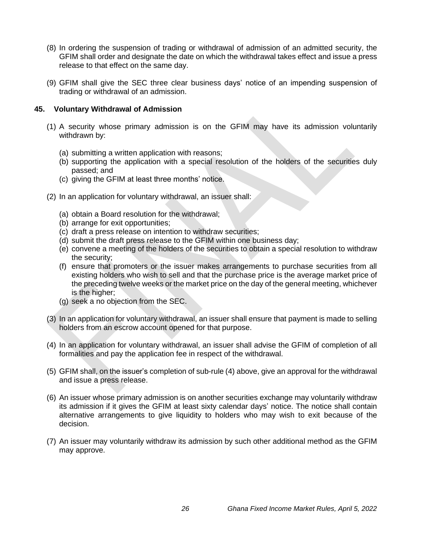- (8) In ordering the suspension of trading or withdrawal of admission of an admitted security, the GFIM shall order and designate the date on which the withdrawal takes effect and issue a press release to that effect on the same day.
- (9) GFIM shall give the SEC three clear business days' notice of an impending suspension of trading or withdrawal of an admission.

#### <span id="page-26-0"></span>**45. Voluntary Withdrawal of Admission**

- (1) A security whose primary admission is on the GFIM may have its admission voluntarily withdrawn by:
	- (a) submitting a written application with reasons;
	- (b) supporting the application with a special resolution of the holders of the securities duly passed; and
	- (c) giving the GFIM at least three months' notice.
- (2) In an application for voluntary withdrawal, an issuer shall:
	- (a) obtain a Board resolution for the withdrawal;
	- (b) arrange for exit opportunities;
	- (c) draft a press release on intention to withdraw securities;
	- (d) submit the draft press release to the GFIM within one business day;
	- (e) convene a meeting of the holders of the securities to obtain a special resolution to withdraw the security;
	- (f) ensure that promoters or the issuer makes arrangements to purchase securities from all existing holders who wish to sell and that the purchase price is the average market price of the preceding twelve weeks or the market price on the day of the general meeting, whichever is the higher;
	- (g) seek a no objection from the SEC.
- (3) In an application for voluntary withdrawal, an issuer shall ensure that payment is made to selling holders from an escrow account opened for that purpose.
- (4) In an application for voluntary withdrawal, an issuer shall advise the GFIM of completion of all formalities and pay the application fee in respect of the withdrawal.
- (5) GFIM shall, on the issuer's completion of sub-rule (4) above, give an approval for the withdrawal and issue a press release.
- (6) An issuer whose primary admission is on another securities exchange may voluntarily withdraw its admission if it gives the GFIM at least sixty calendar days' notice. The notice shall contain alternative arrangements to give liquidity to holders who may wish to exit because of the decision.
- (7) An issuer may voluntarily withdraw its admission by such other additional method as the GFIM may approve.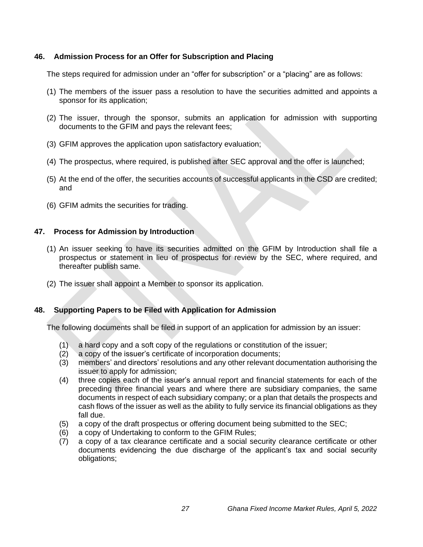# <span id="page-27-0"></span>**46. Admission Process for an Offer for Subscription and Placing**

The steps required for admission under an "offer for subscription" or a "placing" are as follows:

- (1) The members of the issuer pass a resolution to have the securities admitted and appoints a sponsor for its application;
- (2) The issuer, through the sponsor, submits an application for admission with supporting documents to the GFIM and pays the relevant fees;
- (3) GFIM approves the application upon satisfactory evaluation;
- (4) The prospectus, where required, is published after SEC approval and the offer is launched;
- (5) At the end of the offer, the securities accounts of successful applicants in the CSD are credited; and
- (6) GFIM admits the securities for trading.

# <span id="page-27-1"></span>**47. Process for Admission by Introduction**

- (1) An issuer seeking to have its securities admitted on the GFIM by Introduction shall file a prospectus or statement in lieu of prospectus for review by the SEC, where required, and thereafter publish same.
- (2) The issuer shall appoint a Member to sponsor its application.

# <span id="page-27-2"></span>**48. Supporting Papers to be Filed with Application for Admission**

The following documents shall be filed in support of an application for admission by an issuer:

- (1) a hard copy and a soft copy of the regulations or constitution of the issuer;
- (2) a copy of the issuer's certificate of incorporation documents;
- (3) members' and directors' resolutions and any other relevant documentation authorising the issuer to apply for admission;
- (4) three copies each of the issuer's annual report and financial statements for each of the preceding three financial years and where there are subsidiary companies, the same documents in respect of each subsidiary company; or a plan that details the prospects and cash flows of the issuer as well as the ability to fully service its financial obligations as they fall due.
- (5) a copy of the draft prospectus or offering document being submitted to the SEC;
- (6) a copy of Undertaking to conform to the GFIM Rules;
- (7) a copy of a tax clearance certificate and a social security clearance certificate or other documents evidencing the due discharge of the applicant's tax and social security obligations;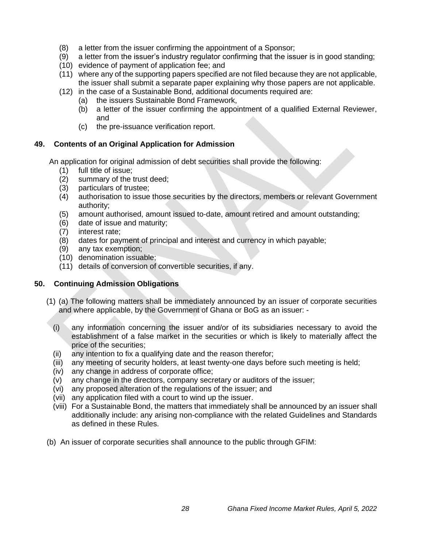- (8) a letter from the issuer confirming the appointment of a Sponsor;
- (9) a letter from the issuer's industry regulator confirming that the issuer is in good standing;
- (10) evidence of payment of application fee; and
- (11) where any of the supporting papers specified are not filed because they are not applicable, the issuer shall submit a separate paper explaining why those papers are not applicable.
- (12) in the case of a Sustainable Bond, additional documents required are:
	- (a) the issuers Sustainable Bond Framework,
	- (b) a letter of the issuer confirming the appointment of a qualified External Reviewer, and
	- (c) the pre-issuance verification report.

# <span id="page-28-0"></span>**49. Contents of an Original Application for Admission**

An application for original admission of debt securities shall provide the following:

- (1) full title of issue;
- (2) summary of the trust deed;
- (3) particulars of trustee;
- (4) authorisation to issue those securities by the directors, members or relevant Government authority;
- (5) amount authorised, amount issued to-date, amount retired and amount outstanding;
- (6) date of issue and maturity;
- (7) interest rate;
- (8) dates for payment of principal and interest and currency in which payable;
- (9) any tax exemption;
- (10) denomination issuable;
- (11) details of conversion of convertible securities, if any.

# <span id="page-28-1"></span>**50. Continuing Admission Obligations**

- (1) (a) The following matters shall be immediately announced by an issuer of corporate securities and where applicable, by the Government of Ghana or BoG as an issuer: -
	- (i) any information concerning the issuer and/or of its subsidiaries necessary to avoid the establishment of a false market in the securities or which is likely to materially affect the price of the securities;
	- (ii) any intention to fix a qualifying date and the reason therefor;
	- (iii) any meeting of security holders, at least twenty-one days before such meeting is held;
	- (iv) any change in address of corporate office;
	- (v) any change in the directors, company secretary or auditors of the issuer;
	- (vi) any proposed alteration of the regulations of the issuer; and
	- (vii) any application filed with a court to wind up the issuer.
	- (viii) For a Sustainable Bond, the matters that immediately shall be announced by an issuer shall additionally include: any arising non-compliance with the related Guidelines and Standards as defined in these Rules.
- (b) An issuer of corporate securities shall announce to the public through GFIM: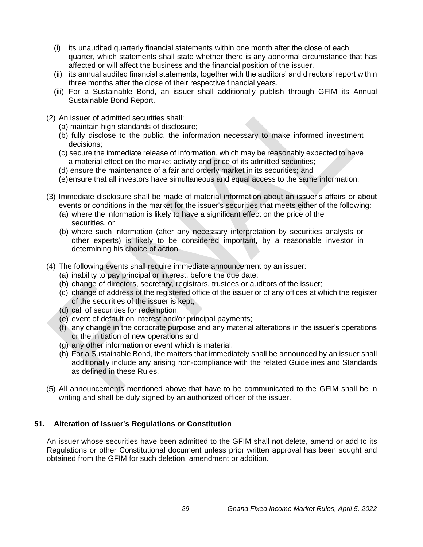- (i) its unaudited quarterly financial statements within one month after the close of each quarter, which statements shall state whether there is any abnormal circumstance that has affected or will affect the business and the financial position of the issuer.
- (ii) its annual audited financial statements, together with the auditors' and directors' report within three months after the close of their respective financial years.
- (iii) For a Sustainable Bond, an issuer shall additionally publish through GFIM its Annual Sustainable Bond Report.
- (2) An issuer of admitted securities shall:
	- (a) maintain high standards of disclosure;
	- (b) fully disclose to the public, the information necessary to make informed investment decisions;
	- (c) secure the immediate release of information, which may be reasonably expected to have a material effect on the market activity and price of its admitted securities;
	- (d) ensure the maintenance of a fair and orderly market in its securities; and
	- (e)ensure that all investors have simultaneous and equal access to the same information.
- (3) Immediate disclosure shall be made of material information about an issuer's affairs or about events or conditions in the market for the issuer's securities that meets either of the following:
	- (a) where the information is likely to have a significant effect on the price of the securities, or
	- (b) where such information (after any necessary interpretation by securities analysts or other experts) is likely to be considered important, by a reasonable investor in determining his choice of action.
- (4) The following events shall require immediate announcement by an issuer:
	- (a) inability to pay principal or interest, before the due date;
	- (b) change of directors, secretary, registrars, trustees or auditors of the issuer;
	- (c) change of address of the registered office of the issuer or of any offices at which the register of the securities of the issuer is kept;
	- (d) call of securities for redemption;
	- (e) event of default on interest and/or principal payments;
	- (f) any change in the corporate purpose and any material alterations in the issuer's operations or the initiation of new operations and
	- (g) any other information or event which is material.
	- (h) For a Sustainable Bond, the matters that immediately shall be announced by an issuer shall additionally include any arising non-compliance with the related Guidelines and Standards as defined in these Rules.
- (5) All announcements mentioned above that have to be communicated to the GFIM shall be in writing and shall be duly signed by an authorized officer of the issuer.

# <span id="page-29-0"></span>**51. Alteration of Issuer's Regulations or Constitution**

An issuer whose securities have been admitted to the GFIM shall not delete, amend or add to its Regulations or other Constitutional document unless prior written approval has been sought and obtained from the GFIM for such deletion, amendment or addition.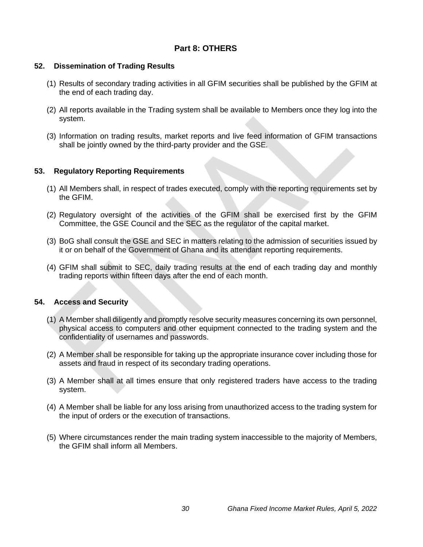# **Part 8: OTHERS**

# <span id="page-30-0"></span>**52. Dissemination of Trading Results**

- (1) Results of secondary trading activities in all GFIM securities shall be published by the GFIM at the end of each trading day.
- (2) All reports available in the Trading system shall be available to Members once they log into the system.
- (3) Information on trading results, market reports and live feed information of GFIM transactions shall be jointly owned by the third-party provider and the GSE.

# <span id="page-30-1"></span>**53. Regulatory Reporting Requirements**

- (1) All Members shall, in respect of trades executed, comply with the reporting requirements set by the GFIM.
- (2) Regulatory oversight of the activities of the GFIM shall be exercised first by the GFIM Committee, the GSE Council and the SEC as the regulator of the capital market.
- (3) BoG shall consult the GSE and SEC in matters relating to the admission of securities issued by it or on behalf of the Government of Ghana and its attendant reporting requirements.
- (4) GFIM shall submit to SEC, daily trading results at the end of each trading day and monthly trading reports within fifteen days after the end of each month.

# <span id="page-30-2"></span>**54. Access and Security**

- (1) A Member shall diligently and promptly resolve security measures concerning its own personnel, physical access to computers and other equipment connected to the trading system and the confidentiality of usernames and passwords.
- (2) A Member shall be responsible for taking up the appropriate insurance cover including those for assets and fraud in respect of its secondary trading operations.
- (3) A Member shall at all times ensure that only registered traders have access to the trading system.
- (4) A Member shall be liable for any loss arising from unauthorized access to the trading system for the input of orders or the execution of transactions.
- (5) Where circumstances render the main trading system inaccessible to the majority of Members, the GFIM shall inform all Members.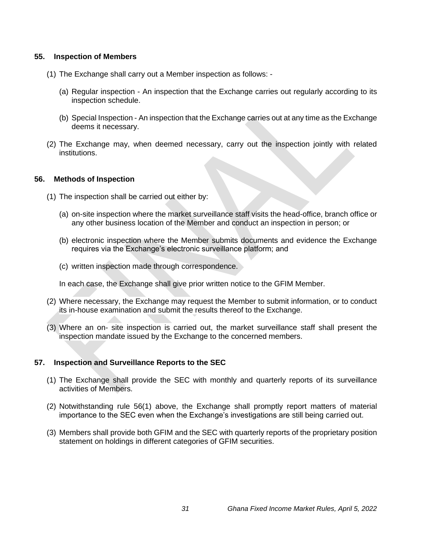#### <span id="page-31-0"></span>**55. Inspection of Members**

- (1) The Exchange shall carry out a Member inspection as follows:
	- (a) Regular inspection An inspection that the Exchange carries out regularly according to its inspection schedule.
	- (b) Special Inspection An inspection that the Exchange carries out at any time as the Exchange deems it necessary.
- (2) The Exchange may, when deemed necessary, carry out the inspection jointly with related institutions.

#### <span id="page-31-1"></span>**56. Methods of Inspection**

- (1) The inspection shall be carried out either by:
	- (a) on-site inspection where the market surveillance staff visits the head-office, branch office or any other business location of the Member and conduct an inspection in person; or
	- (b) electronic inspection where the Member submits documents and evidence the Exchange requires via the Exchange's electronic surveillance platform; and
	- (c) written inspection made through correspondence.

In each case, the Exchange shall give prior written notice to the GFIM Member.

- (2) Where necessary, the Exchange may request the Member to submit information, or to conduct its in-house examination and submit the results thereof to the Exchange.
- (3) Where an on- site inspection is carried out, the market surveillance staff shall present the inspection mandate issued by the Exchange to the concerned members.

# <span id="page-31-2"></span>**57. Inspection and Surveillance Reports to the SEC**

- (1) The Exchange shall provide the SEC with monthly and quarterly reports of its surveillance activities of Members.
- (2) Notwithstanding rule 56(1) above, the Exchange shall promptly report matters of material importance to the SEC even when the Exchange's investigations are still being carried out.
- (3) Members shall provide both GFIM and the SEC with quarterly reports of the proprietary position statement on holdings in different categories of GFIM securities.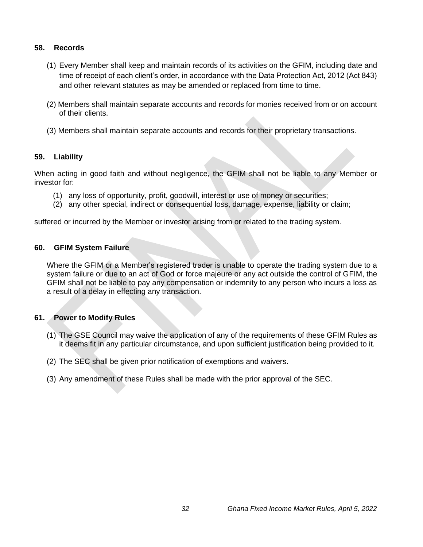# <span id="page-32-0"></span>**58. Records**

- (1) Every Member shall keep and maintain records of its activities on the GFIM, including date and time of receipt of each client's order, in accordance with the Data Protection Act, 2012 (Act 843) and other relevant statutes as may be amended or replaced from time to time.
- (2) Members shall maintain separate accounts and records for monies received from or on account of their clients.
- (3) Members shall maintain separate accounts and records for their proprietary transactions.

# <span id="page-32-1"></span>**59. Liability**

When acting in good faith and without negligence, the GFIM shall not be liable to any Member or investor for:

- (1) any loss of opportunity, profit, goodwill, interest or use of money or securities;
- (2) any other special, indirect or consequential loss, damage, expense, liability or claim;

suffered or incurred by the Member or investor arising from or related to the trading system.

# <span id="page-32-2"></span>**60. GFIM System Failure**

Where the GFIM or a Member's registered trader is unable to operate the trading system due to a system failure or due to an act of God or force majeure or any act outside the control of GFIM, the GFIM shall not be liable to pay any compensation or indemnity to any person who incurs a loss as a result of a delay in effecting any transaction.

# <span id="page-32-3"></span>**61. Power to Modify Rules**

- (1) The GSE Council may waive the application of any of the requirements of these GFIM Rules as it deems fit in any particular circumstance, and upon sufficient justification being provided to it.
- (2) The SEC shall be given prior notification of exemptions and waivers.
- <span id="page-32-4"></span>(3) Any amendment of these Rules shall be made with the prior approval of the SEC.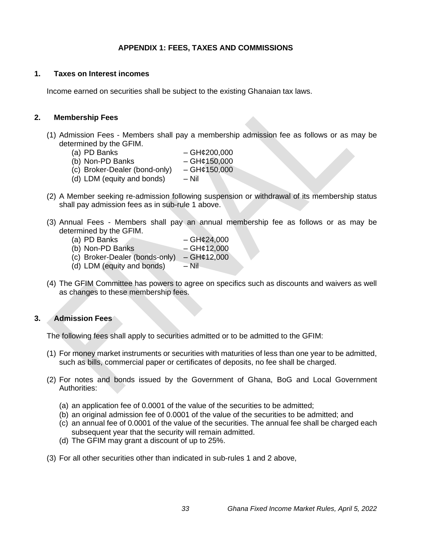# **APPENDIX 1: FEES, TAXES AND COMMISSIONS**

#### <span id="page-33-0"></span>**1. Taxes on Interest incomes**

Income earned on securities shall be subject to the existing Ghanaian tax laws.

#### <span id="page-33-1"></span>**2. Membership Fees**

- (1) Admission Fees Members shall pay a membership admission fee as follows or as may be determined by the GFIM.<br>(a) PD Banks
	-
	- $-$  GH¢200,000 (b) Non-PD Banks  $-GH¢150,000$
	- (c) Broker-Dealer (bond-only)  $-GH¢150,000$
	- (d) LDM (equity and bonds)  $-$  Nil
- (2) A Member seeking re-admission following suspension or withdrawal of its membership status shall pay admission fees as in sub-rule 1 above.
- (3) Annual Fees Members shall pay an annual membership fee as follows or as may be determined by the GFIM.
	- (a) PD Banks GH $\ell$ 24,000
	- (b) Non-PD Banks  $GH¢12,000$
	- (c) Broker-Dealer (bonds-only) GH¢12,000
	- (d)  $LDM$  (equity and bonds) Nil
- (4) The GFIM Committee has powers to agree on specifics such as discounts and waivers as well as changes to these membership fees.

# <span id="page-33-2"></span>**3. Admission Fees**

The following fees shall apply to securities admitted or to be admitted to the GFIM:

- (1) For money market instruments or securities with maturities of less than one year to be admitted, such as bills, commercial paper or certificates of deposits, no fee shall be charged.
- (2) For notes and bonds issued by the Government of Ghana, BoG and Local Government Authorities:
	- (a) an application fee of 0.0001 of the value of the securities to be admitted;
	- (b) an original admission fee of 0.0001 of the value of the securities to be admitted; and
	- (c) an annual fee of 0.0001 of the value of the securities. The annual fee shall be charged each subsequent year that the security will remain admitted.
	- (d) The GFIM may grant a discount of up to 25%.
- (3) For all other securities other than indicated in sub-rules 1 and 2 above,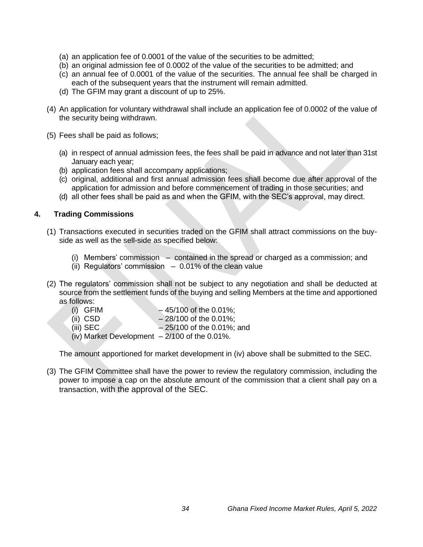- (a) an application fee of 0.0001 of the value of the securities to be admitted;
- (b) an original admission fee of 0.0002 of the value of the securities to be admitted; and
- (c) an annual fee of 0.0001 of the value of the securities. The annual fee shall be charged in each of the subsequent years that the instrument will remain admitted.
- (d) The GFIM may grant a discount of up to 25%.
- (4) An application for voluntary withdrawal shall include an application fee of 0.0002 of the value of the security being withdrawn.
- (5) Fees shall be paid as follows;
	- (a) in respect of annual admission fees, the fees shall be paid in advance and not later than 31st January each year;
	- (b) application fees shall accompany applications;
	- (c) original, additional and first annual admission fees shall become due after approval of the application for admission and before commencement of trading in those securities; and
	- (d) all other fees shall be paid as and when the GFIM, with the SEC's approval, may direct.

#### <span id="page-34-0"></span>**4. Trading Commissions**

- (1) Transactions executed in securities traded on the GFIM shall attract commissions on the buyside as well as the sell-side as specified below:
	- (i) Members' commission contained in the spread or charged as a commission; and
	- (ii) Regulators' commission  $-0.01\%$  of the clean value
- (2) The regulators' commission shall not be subject to any negotiation and shall be deducted at source from the settlement funds of the buying and selling Members at the time and apportioned as follows:
	- (i) GFIM  $-45/100$  of the 0.01%;
	- (ii) CSD  $-28/100$  of the 0.01%;
	- (iii) SEC  $-25/100$  of the 0.01%; and
	- (iv) Market Development  $-2/100$  of the 0.01%.

The amount apportioned for market development in (iv) above shall be submitted to the SEC.

<span id="page-34-1"></span>(3) The GFIM Committee shall have the power to review the regulatory commission, including the power to impose a cap on the absolute amount of the commission that a client shall pay on a transaction, with the approval of the SEC.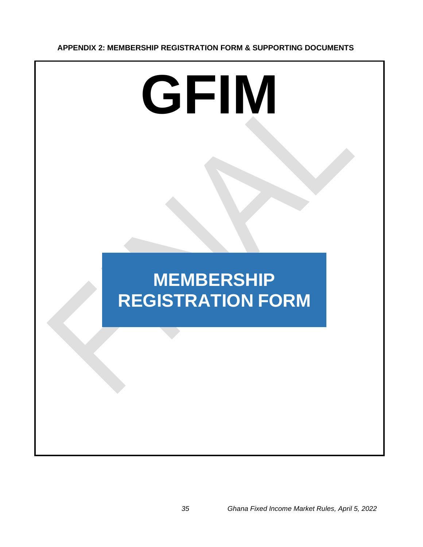# **APPENDIX 2: MEMBERSHIP REGISTRATION FORM & SUPPORTING DOCUMENTS**

# **GFIM**

# **MEMBERSHIP REGISTRATION FORM**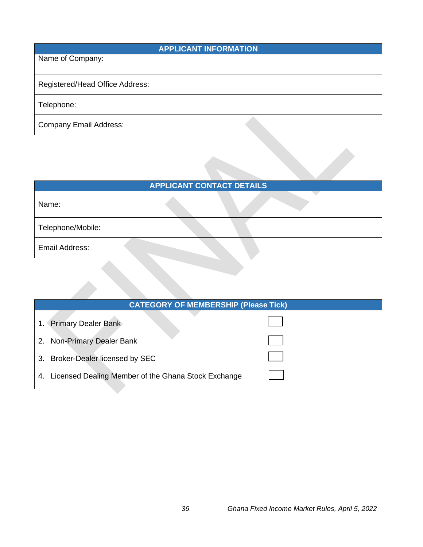| <b>APPLICANT INFORMATION</b>    |  |  |  |
|---------------------------------|--|--|--|
| Name of Company:                |  |  |  |
| Registered/Head Office Address: |  |  |  |
| Telephone:                      |  |  |  |
| <b>Company Email Address:</b>   |  |  |  |

| <b>APPLICANT CONTACT DETAILS</b> |  |  |  |
|----------------------------------|--|--|--|
| Name:                            |  |  |  |
| Telephone/Mobile:                |  |  |  |
| Email Address:                   |  |  |  |

| <b>CATEGORY OF MEMBERSHIP (Please Tick)</b>               |  |  |  |
|-----------------------------------------------------------|--|--|--|
| 1. Primary Dealer Bank                                    |  |  |  |
| <b>Non-Primary Dealer Bank</b><br>2.                      |  |  |  |
| <b>Broker-Dealer licensed by SEC</b><br>3.                |  |  |  |
| Licensed Dealing Member of the Ghana Stock Exchange<br>4. |  |  |  |